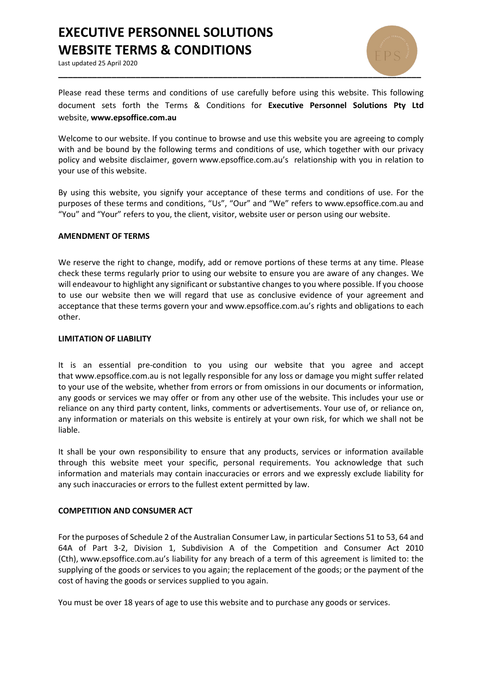# **EXECUTIVE PERSONNEL SOLUTIONS WEBSITE TERMS & CONDITIONS**

Last updated 25 April 2020



Please read these terms and conditions of use carefully before using this website. This following document sets forth the Terms & Conditions for **Executive Personnel Solutions Pty Ltd**  website, **www.epsoffice.com.au**

Welcome to our website. If you continue to browse and use this website you are agreeing to comply with and be bound by the following terms and conditions of use, which together with our privacy policy and website disclaimer, govern www.epsoffice.com.au's relationship with you in relation to your use of this website.

By using this website, you signify your acceptance of these terms and conditions of use. For the purposes of these terms and conditions, "Us", "Our" and "We" refers to www.epsoffice.com.au and "You" and "Your" refers to you, the client, visitor, website user or person using our website.

## **AMENDMENT OF TERMS**

We reserve the right to change, modify, add or remove portions of these terms at any time. Please check these terms regularly prior to using our website to ensure you are aware of any changes. We will endeavour to highlight any significant or substantive changes to you where possible. If you choose to use our website then we will regard that use as conclusive evidence of your agreement and acceptance that these terms govern your and www.epsoffice.com.au's rights and obligations to each other.

#### **LIMITATION OF LIABILITY**

It is an essential pre-condition to you using our website that you agree and accept that www.epsoffice.com.au is not legally responsible for any loss or damage you might suffer related to your use of the website, whether from errors or from omissions in our documents or information, any goods or services we may offer or from any other use of the website. This includes your use or reliance on any third party content, links, comments or advertisements. Your use of, or reliance on, any information or materials on this website is entirely at your own risk, for which we shall not be liable.

It shall be your own responsibility to ensure that any products, services or information available through this website meet your specific, personal requirements. You acknowledge that such information and materials may contain inaccuracies or errors and we expressly exclude liability for any such inaccuracies or errors to the fullest extent permitted by law.

## **COMPETITION AND CONSUMER ACT**

For the purposes of Schedule 2 of the Australian Consumer Law, in particular Sections 51 to 53, 64 and 64A of Part 3-2, Division 1, Subdivision A of the Competition and Consumer Act 2010 (Cth), www.epsoffice.com.au's liability for any breach of a term of this agreement is limited to: the supplying of the goods or services to you again; the replacement of the goods; or the payment of the cost of having the goods or services supplied to you again.

You must be over 18 years of age to use this website and to purchase any goods or services.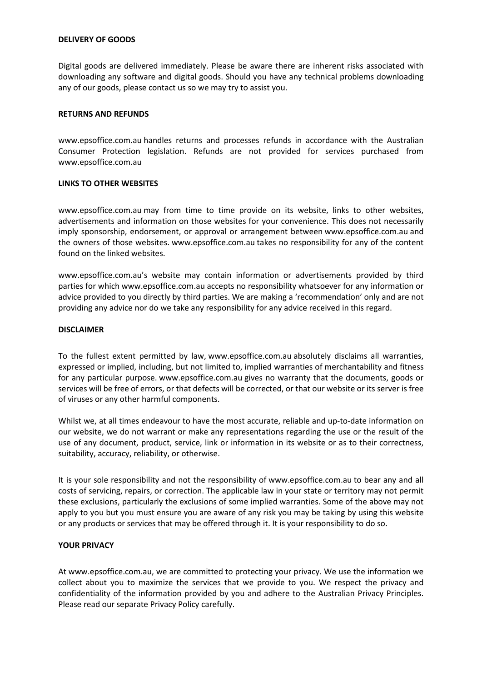## **DELIVERY OF GOODS**

Digital goods are delivered immediately. Please be aware there are inherent risks associated with downloading any software and digital goods. Should you have any technical problems downloading any of our goods, please contact us so we may try to assist you.

## **RETURNS AND REFUNDS**

www.epsoffice.com.au handles returns and processes refunds in accordance with the Australian Consumer Protection legislation. Refunds are not provided for services purchased from www.epsoffice.com.au

## **LINKS TO OTHER WEBSITES**

www.epsoffice.com.au may from time to time provide on its website, links to other websites, advertisements and information on those websites for your convenience. This does not necessarily imply sponsorship, endorsement, or approval or arrangement between www.epsoffice.com.au and the owners of those websites. www.epsoffice.com.au takes no responsibility for any of the content found on the linked websites.

www.epsoffice.com.au's website may contain information or advertisements provided by third parties for which www.epsoffice.com.au accepts no responsibility whatsoever for any information or advice provided to you directly by third parties. We are making a 'recommendation' only and are not providing any advice nor do we take any responsibility for any advice received in this regard.

## **DISCLAIMER**

To the fullest extent permitted by law, www.epsoffice.com.au absolutely disclaims all warranties, expressed or implied, including, but not limited to, implied warranties of merchantability and fitness for any particular purpose. www.epsoffice.com.au gives no warranty that the documents, goods or services will be free of errors, or that defects will be corrected, or that our website or its server is free of viruses or any other harmful components.

Whilst we, at all times endeavour to have the most accurate, reliable and up-to-date information on our website, we do not warrant or make any representations regarding the use or the result of the use of any document, product, service, link or information in its website or as to their correctness, suitability, accuracy, reliability, or otherwise.

It is your sole responsibility and not the responsibility of www.epsoffice.com.au to bear any and all costs of servicing, repairs, or correction. The applicable law in your state or territory may not permit these exclusions, particularly the exclusions of some implied warranties. Some of the above may not apply to you but you must ensure you are aware of any risk you may be taking by using this website or any products or services that may be offered through it. It is your responsibility to do so.

## **YOUR PRIVACY**

At www.epsoffice.com.au, we are committed to protecting your privacy. We use the information we collect about you to maximize the services that we provide to you. We respect the privacy and confidentiality of the information provided by you and adhere to the Australian Privacy Principles. Please read our separate Privacy Policy carefully.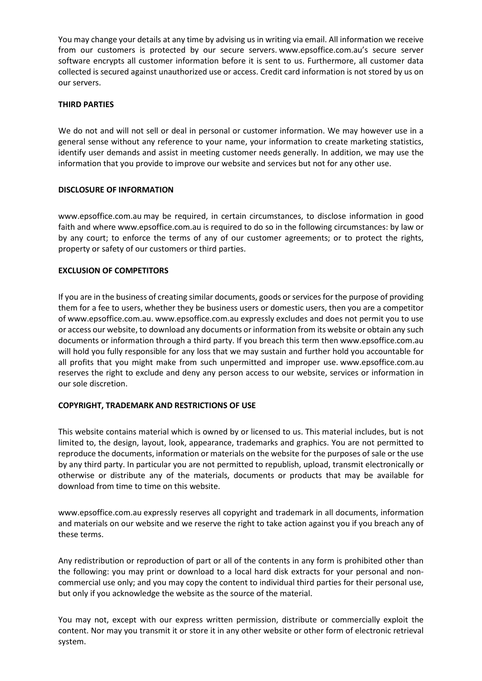You may change your details at any time by advising us in writing via email. All information we receive from our customers is protected by our secure servers. www.epsoffice.com.au's secure server software encrypts all customer information before it is sent to us. Furthermore, all customer data collected is secured against unauthorized use or access. Credit card information is not stored by us on our servers.

## **THIRD PARTIES**

We do not and will not sell or deal in personal or customer information. We may however use in a general sense without any reference to your name, your information to create marketing statistics, identify user demands and assist in meeting customer needs generally. In addition, we may use the information that you provide to improve our website and services but not for any other use.

# **DISCLOSURE OF INFORMATION**

www.epsoffice.com.au may be required, in certain circumstances, to disclose information in good faith and where www.epsoffice.com.au is required to do so in the following circumstances: by law or by any court; to enforce the terms of any of our customer agreements; or to protect the rights, property or safety of our customers or third parties.

# **EXCLUSION OF COMPETITORS**

If you are in the business of creating similar documents, goods or services for the purpose of providing them for a fee to users, whether they be business users or domestic users, then you are a competitor of www.epsoffice.com.au. www.epsoffice.com.au expressly excludes and does not permit you to use or access our website, to download any documents or information from its website or obtain any such documents or information through a third party. If you breach this term then www.epsoffice.com.au will hold you fully responsible for any loss that we may sustain and further hold you accountable for all profits that you might make from such unpermitted and improper use. www.epsoffice.com.au reserves the right to exclude and deny any person access to our website, services or information in our sole discretion.

## **COPYRIGHT, TRADEMARK AND RESTRICTIONS OF USE**

This website contains material which is owned by or licensed to us. This material includes, but is not limited to, the design, layout, look, appearance, trademarks and graphics. You are not permitted to reproduce the documents, information or materials on the website for the purposes of sale or the use by any third party. In particular you are not permitted to republish, upload, transmit electronically or otherwise or distribute any of the materials, documents or products that may be available for download from time to time on this website.

www.epsoffice.com.au expressly reserves all copyright and trademark in all documents, information and materials on our website and we reserve the right to take action against you if you breach any of these terms.

Any redistribution or reproduction of part or all of the contents in any form is prohibited other than the following: you may print or download to a local hard disk extracts for your personal and noncommercial use only; and you may copy the content to individual third parties for their personal use, but only if you acknowledge the website as the source of the material.

You may not, except with our express written permission, distribute or commercially exploit the content. Nor may you transmit it or store it in any other website or other form of electronic retrieval system.